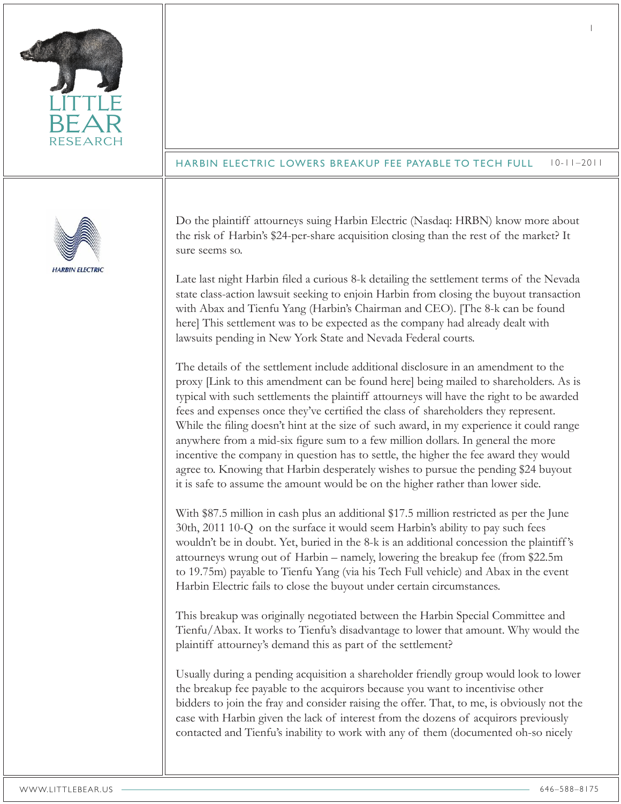| <b>RESEARCH</b>        | $10 - 11 - 2011$<br><b>HARBIN ELECTRIC LOWERS BREAKUP FEE PAYABLE TO TECH FULL</b>                                                                                                                                                                                                                                                                                                                                                                                                                                                                                                                                                                                                                                                                                                                                                                                                                                                                                                                                                                                                                                                                                                                                                                                                                                                                                                                                                                                                                                                                                                                                                                                                                                                                                                                                                                                                                                                                                                                                                                                                                                                                                                                                                                                                                                                                                                                                                                                                                                                                                                                                                                                   |
|------------------------|----------------------------------------------------------------------------------------------------------------------------------------------------------------------------------------------------------------------------------------------------------------------------------------------------------------------------------------------------------------------------------------------------------------------------------------------------------------------------------------------------------------------------------------------------------------------------------------------------------------------------------------------------------------------------------------------------------------------------------------------------------------------------------------------------------------------------------------------------------------------------------------------------------------------------------------------------------------------------------------------------------------------------------------------------------------------------------------------------------------------------------------------------------------------------------------------------------------------------------------------------------------------------------------------------------------------------------------------------------------------------------------------------------------------------------------------------------------------------------------------------------------------------------------------------------------------------------------------------------------------------------------------------------------------------------------------------------------------------------------------------------------------------------------------------------------------------------------------------------------------------------------------------------------------------------------------------------------------------------------------------------------------------------------------------------------------------------------------------------------------------------------------------------------------------------------------------------------------------------------------------------------------------------------------------------------------------------------------------------------------------------------------------------------------------------------------------------------------------------------------------------------------------------------------------------------------------------------------------------------------------------------------------------------------|
| <b>HARBIN ELECTRIC</b> | Do the plaintiff attourneys suing Harbin Electric (Nasdaq: HRBN) know more about<br>the risk of Harbin's \$24-per-share acquisition closing than the rest of the market? It<br>sure seems so.<br>Late last night Harbin filed a curious 8-k detailing the settlement terms of the Nevada<br>state class-action lawsuit seeking to enjoin Harbin from closing the buyout transaction<br>with Abax and Tienfu Yang (Harbin's Chairman and CEO). [The 8-k can be found<br>here] This settlement was to be expected as the company had already dealt with<br>lawsuits pending in New York State and Nevada Federal courts.<br>The details of the settlement include additional disclosure in an amendment to the<br>proxy [Link to this amendment can be found here] being mailed to shareholders. As is<br>typical with such settlements the plaintiff attourneys will have the right to be awarded<br>fees and expenses once they've certified the class of shareholders they represent.<br>While the filing doesn't hint at the size of such award, in my experience it could range<br>anywhere from a mid-six figure sum to a few million dollars. In general the more<br>incentive the company in question has to settle, the higher the fee award they would<br>agree to. Knowing that Harbin desperately wishes to pursue the pending \$24 buyout<br>it is safe to assume the amount would be on the higher rather than lower side.<br>With \$87.5 million in cash plus an additional \$17.5 million restricted as per the June<br>30th, 2011 10-Q on the surface it would seem Harbin's ability to pay such fees<br>wouldn't be in doubt. Yet, buried in the 8-k is an additional concession the plaintiff's<br>attourneys wrung out of Harbin - namely, lowering the breakup fee (from \$22.5m)<br>to 19.75m) payable to Tienfu Yang (via his Tech Full vehicle) and Abax in the event<br>Harbin Electric fails to close the buyout under certain circumstances.<br>This breakup was originally negotiated between the Harbin Special Committee and<br>Tienfu/Abax. It works to Tienfu's disadvantage to lower that amount. Why would the<br>plaintiff attourney's demand this as part of the settlement?<br>Usually during a pending acquisition a shareholder friendly group would look to lower<br>the breakup fee payable to the acquirors because you want to incentivise other<br>bidders to join the fray and consider raising the offer. That, to me, is obviously not the<br>case with Harbin given the lack of interest from the dozens of acquirors previously<br>contacted and Tienfu's inability to work with any of them (documented oh-so nicely |